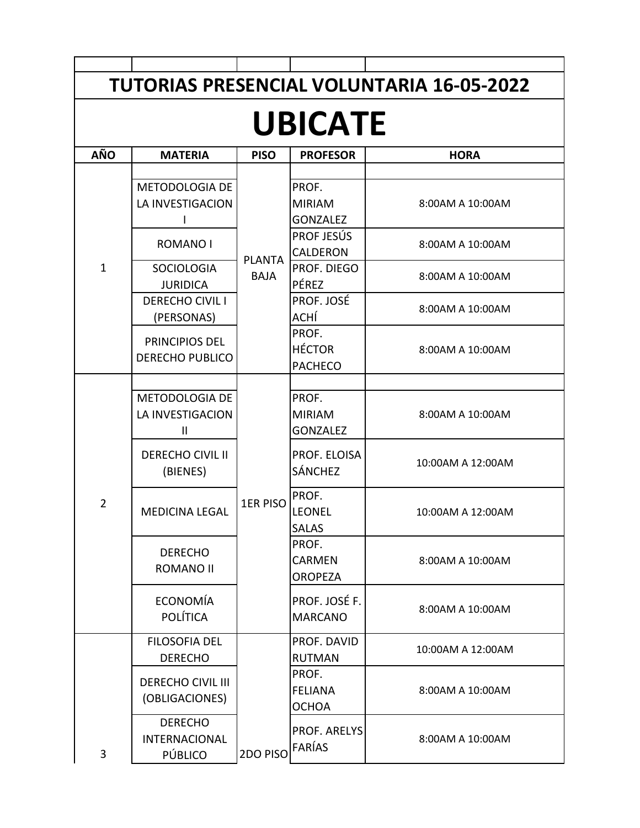| <b>TUTORIAS PRESENCIAL VOLUNTARIA 16-05-2022</b> |                                                   |                              |                                           |                   |  |  |  |  |  |  |
|--------------------------------------------------|---------------------------------------------------|------------------------------|-------------------------------------------|-------------------|--|--|--|--|--|--|
|                                                  |                                                   |                              |                                           |                   |  |  |  |  |  |  |
| <b>UBICATE</b>                                   |                                                   |                              |                                           |                   |  |  |  |  |  |  |
| <b>AÑO</b>                                       | <b>MATERIA</b>                                    | <b>PISO</b>                  | <b>PROFESOR</b>                           | <b>HORA</b>       |  |  |  |  |  |  |
| $\mathbf{1}$                                     | METODOLOGIA DE<br>LA INVESTIGACION                | <b>PLANTA</b><br><b>BAJA</b> | PROF.<br><b>MIRIAM</b><br><b>GONZALEZ</b> | 8:00AM A 10:00AM  |  |  |  |  |  |  |
|                                                  | <b>ROMANO I</b>                                   |                              | PROF JESÚS<br><b>CALDERON</b>             | 8:00AM A 10:00AM  |  |  |  |  |  |  |
|                                                  | <b>SOCIOLOGIA</b><br><b>JURIDICA</b>              |                              | PROF. DIEGO<br><b>PÉREZ</b>               | 8:00AM A 10:00AM  |  |  |  |  |  |  |
|                                                  | <b>DERECHO CIVIL I</b><br>(PERSONAS)              |                              | PROF. JOSÉ<br>ACHÍ                        | 8:00AM A 10:00AM  |  |  |  |  |  |  |
|                                                  | PRINCIPIOS DEL<br><b>DERECHO PUBLICO</b>          |                              | PROF.<br><b>HÉCTOR</b><br><b>PACHECO</b>  | 8:00AM A 10:00AM  |  |  |  |  |  |  |
| $\overline{2}$                                   | METODOLOGIA DE<br>LA INVESTIGACION<br>Ш           | <b>1ER PISO</b>              | PROF.<br><b>MIRIAM</b><br><b>GONZALEZ</b> | 8:00AM A 10:00AM  |  |  |  |  |  |  |
|                                                  | <b>DERECHO CIVIL II</b><br>(BIENES)               |                              | PROF. ELOISA<br><b>SÁNCHEZ</b>            | 10:00AM A 12:00AM |  |  |  |  |  |  |
|                                                  | <b>MEDICINA LEGAL</b>                             |                              | PROF.<br><b>LEONEL</b><br>SALAS           | 10:00AM A 12:00AM |  |  |  |  |  |  |
|                                                  | <b>DERECHO</b><br><b>ROMANO II</b>                |                              | PROF.<br><b>CARMEN</b><br><b>OROPEZA</b>  | 8:00AM A 10:00AM  |  |  |  |  |  |  |
|                                                  | ECONOMÍA<br><b>POLÍTICA</b>                       |                              | PROF. JOSÉ F.<br><b>MARCANO</b>           | 8:00AM A 10:00AM  |  |  |  |  |  |  |
| 3                                                | <b>FILOSOFIA DEL</b><br><b>DERECHO</b>            | 2DO PISO                     | PROF. DAVID<br><b>RUTMAN</b>              | 10:00AM A 12:00AM |  |  |  |  |  |  |
|                                                  | <b>DERECHO CIVIL III</b><br>(OBLIGACIONES)        |                              | PROF.<br><b>FELIANA</b><br><b>OCHOA</b>   | 8:00AM A 10:00AM  |  |  |  |  |  |  |
|                                                  | <b>DERECHO</b><br><b>INTERNACIONAL</b><br>PÚBLICO |                              | PROF. ARELYS<br>FARÍAS                    | 8:00AM A 10:00AM  |  |  |  |  |  |  |